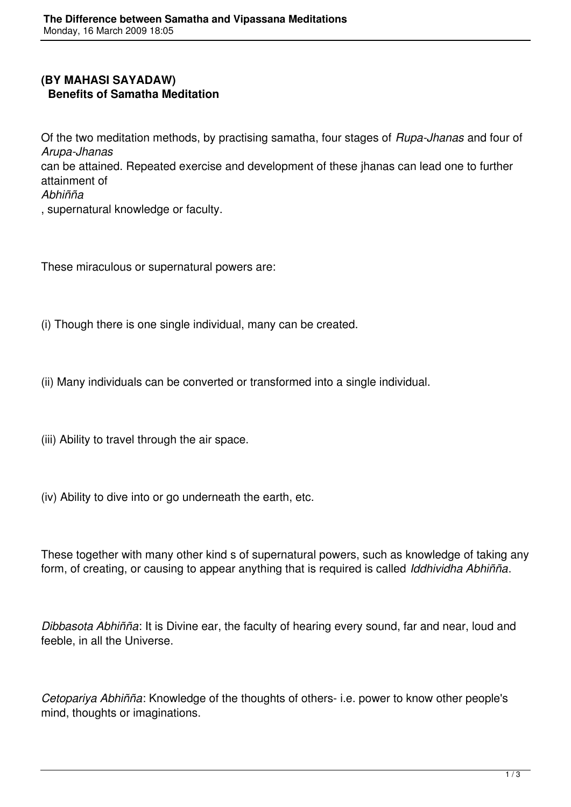## **(BY MAHASI SAYADAW) Benefits of Samatha Meditation**

Of the two meditation methods, by practising samatha, four stages of *Rupa-Jhanas* and four of *Arupa-Jhanas* can be attained. Repeated exercise and development of these jhanas can lead one to further attainment of *Abhiñña* , supernatural knowledge or faculty.

These miraculous or supernatural powers are:

(i) Though there is one single individual, many can be created.

(ii) Many individuals can be converted or transformed into a single individual.

- (iii) Ability to travel through the air space.
- (iv) Ability to dive into or go underneath the earth, etc.

These together with many other kind s of supernatural powers, such as knowledge of taking any form, of creating, or causing to appear anything that is required is called *Iddhividha Abhiñña*.

*Dibbasota Abhiñña*: It is Divine ear, the faculty of hearing every sound, far and near, loud and feeble, in all the Universe.

*Cetopariya Abhiñña*: Knowledge of the thoughts of others- i.e. power to know other people's mind, thoughts or imaginations.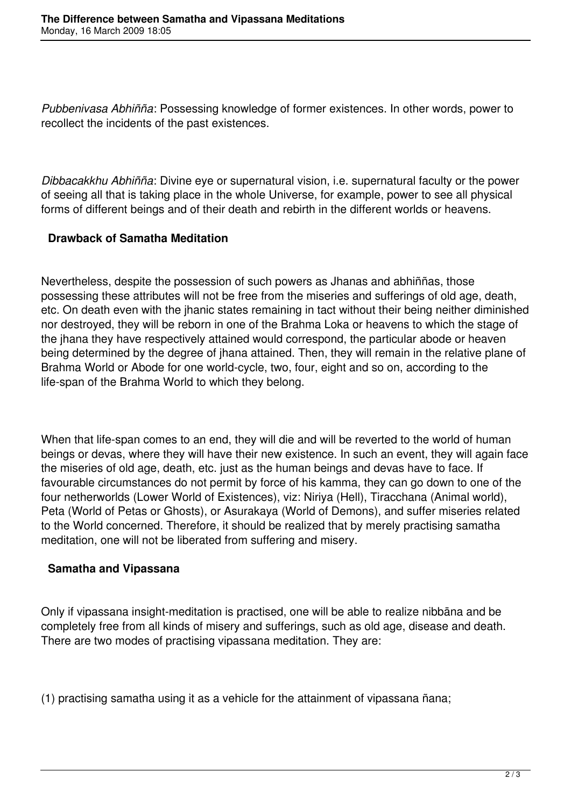*Pubbenivasa Abhiñña*: Possessing knowledge of former existences. In other words, power to recollect the incidents of the past existences.

*Dibbacakkhu Abhiñña*: Divine eye or supernatural vision, i.e. supernatural faculty or the power of seeing all that is taking place in the whole Universe, for example, power to see all physical forms of different beings and of their death and rebirth in the different worlds or heavens.

## **Drawback of Samatha Meditation**

Nevertheless, despite the possession of such powers as Jhanas and abhiññas, those possessing these attributes will not be free from the miseries and sufferings of old age, death, etc. On death even with the jhanic states remaining in tact without their being neither diminished nor destroyed, they will be reborn in one of the Brahma Loka or heavens to which the stage of the jhana they have respectively attained would correspond, the particular abode or heaven being determined by the degree of jhana attained. Then, they will remain in the relative plane of Brahma World or Abode for one world-cycle, two, four, eight and so on, according to the life-span of the Brahma World to which they belong.

When that life-span comes to an end, they will die and will be reverted to the world of human beings or devas, where they will have their new existence. In such an event, they will again face the miseries of old age, death, etc. just as the human beings and devas have to face. If favourable circumstances do not permit by force of his kamma, they can go down to one of the four netherworlds (Lower World of Existences), viz: Niriya (Hell), Tiracchana (Animal world), Peta (World of Petas or Ghosts), or Asurakaya (World of Demons), and suffer miseries related to the World concerned. Therefore, it should be realized that by merely practising samatha meditation, one will not be liberated from suffering and misery.

## **Samatha and Vipassana**

Only if vipassana insight-meditation is practised, one will be able to realize nibbāna and be completely free from all kinds of misery and sufferings, such as old age, disease and death. There are two modes of practising vipassana meditation. They are:

(1) practising samatha using it as a vehicle for the attainment of vipassana ñana;